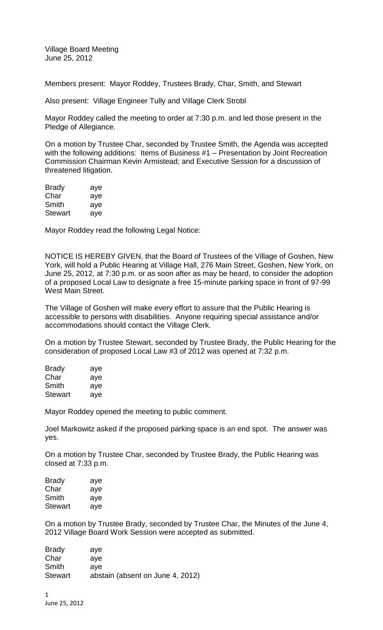Village Board Meeting June 25, 2012

Members present: Mayor Roddey, Trustees Brady, Char, Smith, and Stewart

Also present: Village Engineer Tully and Village Clerk Strobl

Mayor Roddey called the meeting to order at 7:30 p.m. and led those present in the Pledge of Allegiance.

On a motion by Trustee Char, seconded by Trustee Smith, the Agenda was accepted with the following additions: Items of Business #1 – Presentation by Joint Recreation Commission Chairman Kevin Armistead; and Executive Session for a discussion of threatened litigation.

| <b>Brady</b> | aye |
|--------------|-----|
| Char         | aye |
| Smith        | aye |
| Stewart      | aye |

Mayor Roddey read the following Legal Notice:

NOTICE IS HEREBY GIVEN, that the Board of Trustees of the Village of Goshen, New York, will hold a Public Hearing at Village Hall, 276 Main Street, Goshen, New York, on June 25, 2012, at 7:30 p.m. or as soon after as may be heard, to consider the adoption of a proposed Local Law to designate a free 15-minute parking space in front of 97-99 West Main Street.

The Village of Goshen will make every effort to assure that the Public Hearing is accessible to persons with disabilities. Anyone requiring special assistance and/or accommodations should contact the Village Clerk.

On a motion by Trustee Stewart, seconded by Trustee Brady, the Public Hearing for the consideration of proposed Local Law #3 of 2012 was opened at 7:32 p.m.

| <b>Brady</b> | aye |
|--------------|-----|
| Char         | aye |
| Smith        | aye |
| Stewart      | ave |

Mayor Roddey opened the meeting to public comment.

Joel Markowitz asked if the proposed parking space is an end spot. The answer was yes.

On a motion by Trustee Char, seconded by Trustee Brady, the Public Hearing was closed at 7:33 p.m.

| Brady   | aye |
|---------|-----|
| Char    | aye |
| Smith   | aye |
| Stewart | aye |

On a motion by Trustee Brady, seconded by Trustee Char, the Minutes of the June 4, 2012 Village Board Work Session were accepted as submitted.

| <b>Brady</b>   | ave                              |
|----------------|----------------------------------|
| Char           | ave                              |
| Smith          | ave                              |
| <b>Stewart</b> | abstain (absent on June 4, 2012) |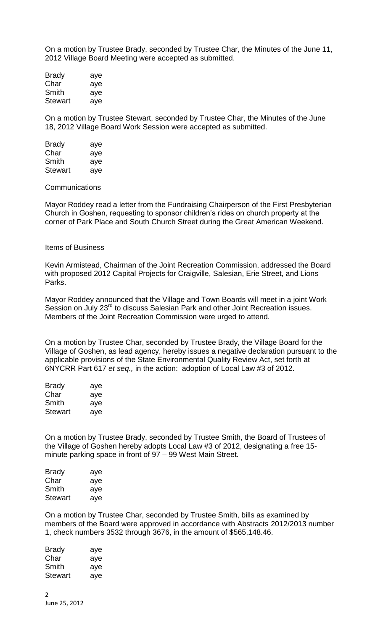On a motion by Trustee Brady, seconded by Trustee Char, the Minutes of the June 11, 2012 Village Board Meeting were accepted as submitted.

| <b>Brady</b>   | aye |
|----------------|-----|
| Char           | aye |
| Smith          | aye |
| <b>Stewart</b> | aye |

On a motion by Trustee Stewart, seconded by Trustee Char, the Minutes of the June 18, 2012 Village Board Work Session were accepted as submitted.

| <b>Brady</b>   | aye |
|----------------|-----|
| Char           | aye |
| Smith          | aye |
| <b>Stewart</b> | aye |

## **Communications**

Mayor Roddey read a letter from the Fundraising Chairperson of the First Presbyterian Church in Goshen, requesting to sponsor children's rides on church property at the corner of Park Place and South Church Street during the Great American Weekend.

## Items of Business

Kevin Armistead, Chairman of the Joint Recreation Commission, addressed the Board with proposed 2012 Capital Projects for Craigville, Salesian, Erie Street, and Lions Parks.

Mayor Roddey announced that the Village and Town Boards will meet in a joint Work Session on July 23<sup>rd</sup> to discuss Salesian Park and other Joint Recreation issues. Members of the Joint Recreation Commission were urged to attend.

On a motion by Trustee Char, seconded by Trustee Brady, the Village Board for the Village of Goshen, as lead agency, hereby issues a negative declaration pursuant to the applicable provisions of the State Environmental Quality Review Act, set forth at 6NYCRR Part 617 *et seq.,* in the action: adoption of Local Law #3 of 2012.

| Brady   | aye |
|---------|-----|
| Char    | aye |
| Smith   | aye |
| Stewart | aye |

On a motion by Trustee Brady, seconded by Trustee Smith, the Board of Trustees of the Village of Goshen hereby adopts Local Law #3 of 2012, designating a free 15 minute parking space in front of 97 – 99 West Main Street.

| Brady   | aye |
|---------|-----|
| Char    | aye |
| Smith   | aye |
| Stewart | aye |

On a motion by Trustee Char, seconded by Trustee Smith, bills as examined by members of the Board were approved in accordance with Abstracts 2012/2013 number 1, check numbers 3532 through 3676, in the amount of \$565,148.46.

| Brady   | aye |
|---------|-----|
| Char    | aye |
| Smith   | aye |
| Stewart | aye |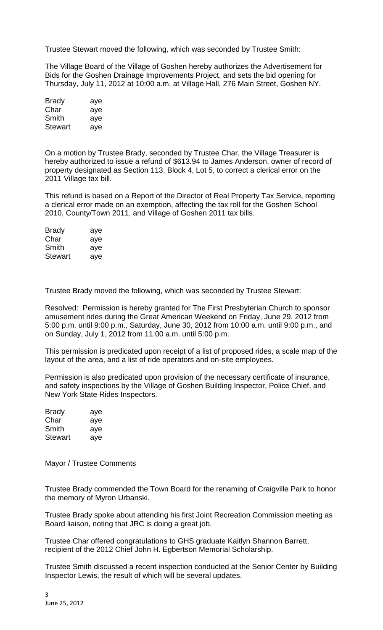Trustee Stewart moved the following, which was seconded by Trustee Smith:

The Village Board of the Village of Goshen hereby authorizes the Advertisement for Bids for the Goshen Drainage Improvements Project, and sets the bid opening for Thursday, July 11, 2012 at 10:00 a.m. at Village Hall, 276 Main Street, Goshen NY.

| Brady          | aye |
|----------------|-----|
| Char           | aye |
| Smith          | aye |
| <b>Stewart</b> | aye |

On a motion by Trustee Brady, seconded by Trustee Char, the Village Treasurer is hereby authorized to issue a refund of \$613.94 to James Anderson, owner of record of property designated as Section 113, Block 4, Lot 5, to correct a clerical error on the 2011 Village tax bill.

This refund is based on a Report of the Director of Real Property Tax Service, reporting a clerical error made on an exemption, affecting the tax roll for the Goshen School 2010, County/Town 2011, and Village of Goshen 2011 tax bills.

| <b>Brady</b> | aye |
|--------------|-----|
| Char         | aye |
| Smith        | aye |
| Stewart      | aye |

Trustee Brady moved the following, which was seconded by Trustee Stewart:

Resolved: Permission is hereby granted for The First Presbyterian Church to sponsor amusement rides during the Great American Weekend on Friday, June 29, 2012 from 5:00 p.m. until 9:00 p.m., Saturday, June 30, 2012 from 10:00 a.m. until 9:00 p.m., and on Sunday, July 1, 2012 from 11:00 a.m. until 5:00 p.m.

This permission is predicated upon receipt of a list of proposed rides, a scale map of the layout of the area, and a list of ride operators and on-site employees.

Permission is also predicated upon provision of the necessary certificate of insurance, and safety inspections by the Village of Goshen Building Inspector, Police Chief, and New York State Rides Inspectors.

| <b>Brady</b>   | aye |
|----------------|-----|
| Char           | aye |
| Smith          | aye |
| <b>Stewart</b> | aye |

Mayor / Trustee Comments

Trustee Brady commended the Town Board for the renaming of Craigville Park to honor the memory of Myron Urbanski.

Trustee Brady spoke about attending his first Joint Recreation Commission meeting as Board liaison, noting that JRC is doing a great job.

Trustee Char offered congratulations to GHS graduate Kaitlyn Shannon Barrett, recipient of the 2012 Chief John H. Egbertson Memorial Scholarship.

Trustee Smith discussed a recent inspection conducted at the Senior Center by Building Inspector Lewis, the result of which will be several updates.